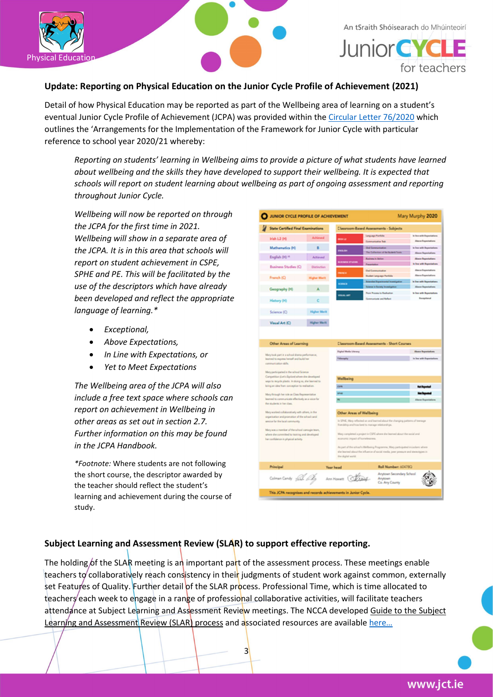

An tSraith Shóisearach do Mhúinteoirí

**Junior CYC** for teachers

## Update: Reporting on Physical Education on the Junior Cycle Profile of Achievement (2021)

Detail of how Physical Education may be reported as part of the Wellbeing area of learning on a student's eventual Junior Cycle Profile of Achievement (JCPA) was provided within the Circular Letter 76/2020 which outlines the 'Arrangements for the Implementation of the Framework for Junior Cycle with particular reference to school year 2020/21 whereby:

Reporting on students' learning in Wellbeing aims to provide a picture of what students have learned about wellbeing and the skills they have developed to support their wellbeing. It is expected that schools will report on student learning about wellbeing as part of ongoing assessment and reporting throughout Junior Cycle.

Wellbeing will now be reported on through the JCPA for the first time in 2021. Wellbeing will show in a separate area of the JCPA. It is in this area that schools will report on student achievement in CSPE, SPHE and PE. This will be facilitated by the use of the descriptors which have already been developed and reflect the appropriate language of learning.\*

- Exceptional,
- Above Expectations,
- In Line with Expectations, or
- Yet to Meet Expectations

The Wellbeing area of the JCPA will also include a free text space where schools can report on achievement in Wellbeing in other areas as set out in section 2.7. Further information on this may be found in the JCPA Handbook.

\*Footnote: Where students are not following the short course, the descriptor awarded by the teacher should reflect the student's learning and achievement during the course of study.

| Mary Murphy 2020<br>JUNIOR CYCLE PROFILE OF ACHIEVEMENT                                                                                                                                                                                                                                     |                    |                                                    |                                                                                 |                                                            |  |
|---------------------------------------------------------------------------------------------------------------------------------------------------------------------------------------------------------------------------------------------------------------------------------------------|--------------------|----------------------------------------------------|---------------------------------------------------------------------------------|------------------------------------------------------------|--|
| State Certified Final Examinations                                                                                                                                                                                                                                                          |                    | <b>Classroom Based Assessments - Subjects</b>      |                                                                                 |                                                            |  |
| Irish L2 0-6                                                                                                                                                                                                                                                                                | <b>Advised</b>     | man sa                                             | Language Partfolio                                                              | in line with Experiments                                   |  |
|                                                                                                                                                                                                                                                                                             |                    |                                                    | Commerciative Tele                                                              | <b>Riens Experistions</b>                                  |  |
| Mathematics (H)                                                                                                                                                                                                                                                                             | 8                  | <b>DESCRIPTION</b>                                 | Out Communication                                                               | is few with Expectations                                   |  |
| English 00 14                                                                                                                                                                                                                                                                               | <b>Achieved</b>    |                                                    | The Collection of the Business Taxa                                             | <b><i>Base Transfution</i></b><br><b>Alexa Topolations</b> |  |
|                                                                                                                                                                                                                                                                                             |                    | <b>SMILES</b>                                      | <b>Raines in Artist</b><br>Penertelius                                          | <b>In free with Experistions</b>                           |  |
| <b>Business Studies (C)</b>                                                                                                                                                                                                                                                                 | Distinction        |                                                    | <b>Out Communication</b>                                                        | Alterox Expectations                                       |  |
| Franch (O)                                                                                                                                                                                                                                                                                  | ar Ma              | $-$                                                | <b>Budet Leguqe Patida</b>                                                      | <b>Alerca Experistions</b>                                 |  |
|                                                                                                                                                                                                                                                                                             |                    | <b>CONCE</b>                                       | <b>Related Magnitude</b>                                                        | is few with Reportations                                   |  |
| Geography (H)                                                                                                                                                                                                                                                                               | A                  |                                                    | <b>Between in Basiney in</b>                                                    | <b>Alena Topartation</b>                                   |  |
|                                                                                                                                                                                                                                                                                             |                    | --                                                 | <b>Para Process to Reals</b>                                                    | <b>b</b> free with Boyontarium                             |  |
| History (H)                                                                                                                                                                                                                                                                                 | c                  |                                                    | Communicate and Reflect                                                         | Exceptional                                                |  |
|                                                                                                                                                                                                                                                                                             |                    |                                                    |                                                                                 |                                                            |  |
| Science (C)                                                                                                                                                                                                                                                                                 | <b>Higher Merk</b> |                                                    |                                                                                 |                                                            |  |
|                                                                                                                                                                                                                                                                                             |                    |                                                    |                                                                                 |                                                            |  |
| Visual Art (C)                                                                                                                                                                                                                                                                              | Higher Merit       |                                                    |                                                                                 |                                                            |  |
|                                                                                                                                                                                                                                                                                             |                    |                                                    |                                                                                 |                                                            |  |
|                                                                                                                                                                                                                                                                                             |                    |                                                    |                                                                                 |                                                            |  |
| Other Areas of Learning                                                                                                                                                                                                                                                                     |                    | <b>Classroom-Based Assessments - Short Courses</b> |                                                                                 |                                                            |  |
| Mary took part in a school drama performance,<br>inational to express herself and build her<br>connunction diffu-                                                                                                                                                                           |                    | Digital Media Literacy                             |                                                                                 | Alumn Toportations                                         |  |
|                                                                                                                                                                                                                                                                                             |                    | <b>Information</b>                                 |                                                                                 | <b>Ine with Experiations</b>                               |  |
|                                                                                                                                                                                                                                                                                             |                    |                                                    |                                                                                 |                                                            |  |
| Mary participated in the school Science                                                                                                                                                                                                                                                     |                    |                                                    |                                                                                 |                                                            |  |
| Competition (Let's Explore) where the developed<br>ways to recycle plastic. In doing we, she beamed to<br>bring an idea from conception to realisation.<br>Mary through her rule as Class Representative<br>learned to communicate effectively as a voice for<br>for students is her class. |                    | Wellbeing                                          |                                                                                 |                                                            |  |
|                                                                                                                                                                                                                                                                                             |                    | <b>GUN</b>                                         |                                                                                 |                                                            |  |
|                                                                                                                                                                                                                                                                                             |                    |                                                    |                                                                                 |                                                            |  |
|                                                                                                                                                                                                                                                                                             |                    |                                                    |                                                                                 | استعمال عنا                                                |  |
|                                                                                                                                                                                                                                                                                             |                    |                                                    |                                                                                 | <b>Elena Especial</b>                                      |  |
|                                                                                                                                                                                                                                                                                             |                    |                                                    |                                                                                 |                                                            |  |
| Many worked collaboratively with others, in the<br>organisation and promotion of the school card.<br>senior for the local community.<br>Mary was a member of the school comagin team,<br>where she controlled to training and developed<br>her confidence in physical activity.             |                    | <b>Other Areas of Wellbeing</b>                    |                                                                                 |                                                            |  |
|                                                                                                                                                                                                                                                                                             |                    |                                                    | in SPAE, Mary reflected on and learned about the changing patterns of teenage   |                                                            |  |
|                                                                                                                                                                                                                                                                                             |                    | friendship and how best to manage relationships.   |                                                                                 |                                                            |  |
|                                                                                                                                                                                                                                                                                             |                    |                                                    | Mary completed a project in CSPS where she learned about the social and         |                                                            |  |
|                                                                                                                                                                                                                                                                                             |                    | economic impact of hortelessness.                  |                                                                                 |                                                            |  |
|                                                                                                                                                                                                                                                                                             |                    |                                                    | As part of the school's Wellbeing Programme, Mary participated includent school |                                                            |  |
|                                                                                                                                                                                                                                                                                             |                    |                                                    | the barred about the infuence of social meda, peer pressure and steworgpes in   |                                                            |  |
|                                                                                                                                                                                                                                                                                             |                    | the digital world.                                 |                                                                                 |                                                            |  |
| Principal                                                                                                                                                                                                                                                                                   |                    | Year head                                          | Roll Number: 60478Q                                                             |                                                            |  |
| Celmen Centry <sub>C</sub> ells, <i>O</i> log                                                                                                                                                                                                                                               |                    |                                                    | Anytown Secondary School                                                        |                                                            |  |
|                                                                                                                                                                                                                                                                                             |                    | Ann Howart Chang                                   | Anytown                                                                         |                                                            |  |
|                                                                                                                                                                                                                                                                                             |                    |                                                    | Co. Any County                                                                  |                                                            |  |
| This JCPA recognises and records achievements in Junior Cycle.                                                                                                                                                                                                                              |                    |                                                    |                                                                                 |                                                            |  |
|                                                                                                                                                                                                                                                                                             |                    |                                                    |                                                                                 |                                                            |  |

## Subject Learning and Assessment Review (SLAR) to support effective reporting.

The holding of the SLAR meeting is an important part of the assessment process. These meetings enable teachers to collaboratively reach consistency in their judgments of student work against common, externally set Features of Quality. Further detail of the SLAR process. Professional Time, which is time allocated to teachers each week to engage in a range of professional collaborative activities, will facilitate teachers attendance at Subject Learning and Assessment Review meetings. The NCCA developed Guide to the Subject Learning and Assessment Review (SLAR) process and associated resources are available here...

3